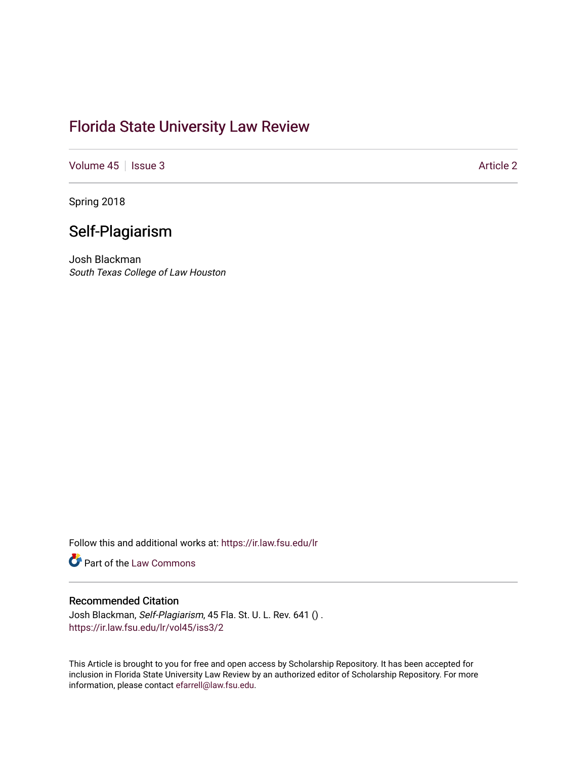# [Florida State University Law Review](https://ir.law.fsu.edu/lr)

[Volume 45](https://ir.law.fsu.edu/lr/vol45) | [Issue 3](https://ir.law.fsu.edu/lr/vol45/iss3) Article 2

Spring 2018

# Self-Plagiarism

Josh Blackman South Texas College of Law Houston

Follow this and additional works at: [https://ir.law.fsu.edu/lr](https://ir.law.fsu.edu/lr?utm_source=ir.law.fsu.edu%2Flr%2Fvol45%2Fiss3%2F2&utm_medium=PDF&utm_campaign=PDFCoverPages) 

**Part of the [Law Commons](https://network.bepress.com/hgg/discipline/578?utm_source=ir.law.fsu.edu%2Flr%2Fvol45%2Fiss3%2F2&utm_medium=PDF&utm_campaign=PDFCoverPages)** 

## Recommended Citation

Josh Blackman, Self-Plagiarism, 45 Fla. St. U. L. Rev. 641 () . [https://ir.law.fsu.edu/lr/vol45/iss3/2](https://ir.law.fsu.edu/lr/vol45/iss3/2?utm_source=ir.law.fsu.edu%2Flr%2Fvol45%2Fiss3%2F2&utm_medium=PDF&utm_campaign=PDFCoverPages)

This Article is brought to you for free and open access by Scholarship Repository. It has been accepted for inclusion in Florida State University Law Review by an authorized editor of Scholarship Repository. For more information, please contact [efarrell@law.fsu.edu](mailto:efarrell@law.fsu.edu).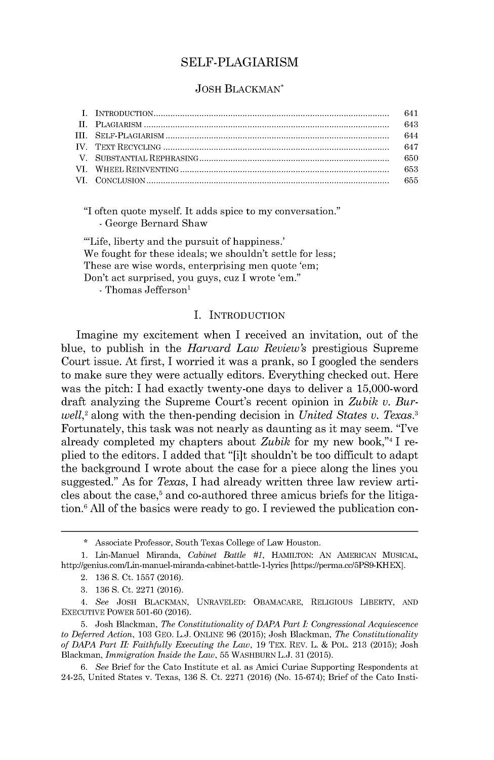### SELF-PLAGIARISM

#### **JOSH BLACKMAN\***

|  | 641 |
|--|-----|
|  | 643 |
|  | 644 |
|  |     |
|  |     |
|  |     |
|  |     |

**"I** often quote myself. It adds spice to my conversation." **-** George Bernard Shaw

'Life, liberty and the pursuit of happiness.' We fought for these ideals; we shouldn't settle for less; These are wise words, enterprising men quote 'em; Don't act surprised, you guys, cuz **I** wrote 'em." - Thomas Jefferson'

I. INTRODUCTION

Imagine my excitement when I received an invitation, out of the blue, to publish in the *Harvard Law Review's* prestigious Supreme Court issue. At first, I worried it was a prank, so I googled the senders to make sure they were actually editors. Everything checked out. Here was the pitch: I had exactly twenty-one days to deliver a 15,000-word draft analyzing the Supreme Court's recent opinion in *Zubik v. Burwell,<sup>2</sup>*along with the then-pending decision in *United States v. Texas.<sup>3</sup>* Fortunately, this task was not nearly as daunting as it may seem. "I've already completed my chapters about *Zubik* for my new book,"4 I replied to the editors. I added that "[i]t shouldn't be too difficult to adapt the background I wrote about the case for a piece along the lines you suggested." As for *Texas,* I had already written three law review articles about the case, $5$  and co-authored three amicus briefs for the litigation.<sup>6</sup>**All** of the basics were ready to go. I reviewed the publication con-

**<sup>\*</sup>** Associate Professor, South Texas College of Law Houston.

**<sup>1.</sup>** Lin-Manuel Miranda, *Cabinet Battle #1,* **HAMILTON: AN AMERICAN MUSICAL,** http://genius.com/Lin-manuel-miranda-cabinet-battle-1-lyrics *[https://perma.cc/5PS9-KHEX].*

<sup>2.</sup> **136 S.** Ct. **1557 (2016).**

**<sup>3. 136</sup> S.** Ct. **2271 (2016).**

<sup>4.</sup> *See* **JOSH** BLACKMAN, **UNRAVELED:** OBAMACARE, RELIGIOUS LIBERTY, **AND EXECUTIVE** POWER **501-60 (2016).**

**<sup>5.</sup>** Josh Blackman, *The Constitutionality of DAPA Part I: Congressional Acquiescence to Deferred Action,* **103** GEO. **L.J. ONLINE 96 (2015);** Josh Blackman, *The Constitutionality of DAPA Part II Faithfully Executing the Law,* **19** TEX. REV. L. **&** POL. **213 (2015);** Josh Blackman, *Immigration Inside the Law,* **55** WASHBURN **L.J. 31 (2015).**

*<sup>6.</sup> See* Brief for the Cato Institute et al. as Amici Curiae Supporting Respondents at 24-25, United States v. Texas, **136 S.** Ct. **2271 (2016)** (No. **15-674);** Brief of the Cato Insti-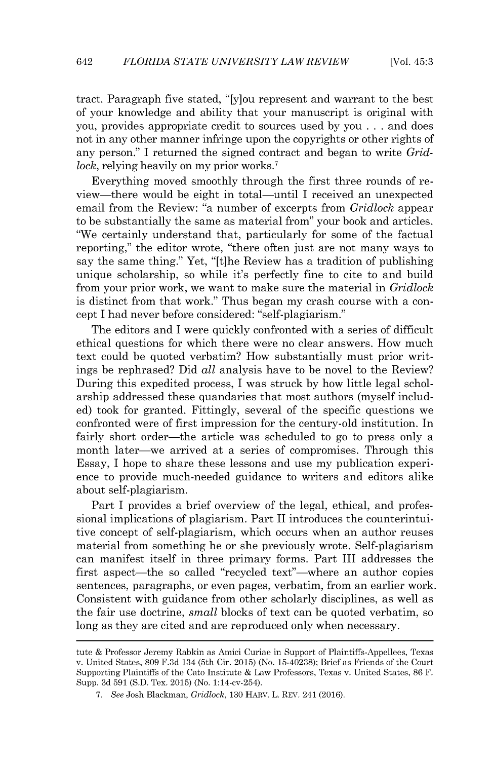tract. Paragraph five stated, "[y]ou represent and warrant to the best of your knowledge and ability that your manuscript is original with you, provides appropriate credit to sources used **by** you **.** . **.** and does not in any other manner infringe upon the copyrights or other rights of any person." I returned the signed contract and began to write *Gridlock*, relying heavily on my prior works.<sup>7</sup>

Everything moved smoothly through the first three rounds of review-there would be eight in total-until I received an unexpected email from the Review: "a number of excerpts from *Gridlock* appear to be substantially the same as material from" your book and articles. "We certainly understand that, particularly for some of the factual reporting," the editor wrote, "there often just are not many ways to say the same thing." Yet, "[t]he Review has a tradition of publishing unique scholarship, so while it's perfectly fine to cite to and build from your prior work, we want to make sure the material in *Gridlock* is distinct from that work." Thus began my crash course with a concept I had never before considered: "self-plagiarism."

The editors and I were quickly confronted with a series of difficult ethical questions for which there were no clear answers. How much text could be quoted verbatim? How substantially must prior writings be rephrased? **Did** *all* analysis have to be novel to the Review? During this expedited process, I was struck **by** how little legal scholarship addressed these quandaries that most authors (myself included) took for granted. Fittingly, several of the specific questions we confronted were of first impression for the century-old institution. In fairly short order—the article was scheduled to go to press only a month later—we arrived at a series of compromises. Through this Essay, I hope to share these lessons and use my publication experience to provide much-needed guidance to writers and editors alike about self-plagiarism.

Part I provides a brief overview of the legal, ethical, and professional implications of plagiarism. Part II introduces the counterintuitive concept of self-plagiarism, which occurs when an author reuses material from something he or she previously wrote. Self-plagiarism can manifest itself in three primary forms. Part III addresses the first aspect—the so called "recycled text"—where an author copies sentences, paragraphs, or even pages, verbatim, from an earlier work. Consistent with guidance from other scholarly disciplines, as well as the fair use doctrine, *small* blocks of text can be quoted verbatim, **so** long as they are cited and are reproduced only when necessary.

tute **&** Professor Jeremy Rabkin as Amici Curiae in Support of Plaintiffs-Appellees, Texas v. United States, **809 F.3d** 134 (5th Cir. **2015)** (No. **15-40238);** Brief as Friends of the Court Supporting Plaintiffs of the Cato Institute **&** Law Professors, Texas v. United States, **86** F. Supp. **3d 591 (S.D.** Tex. **2015)** (No. 1:14-cv-254).

**<sup>7.</sup>** *See* Josh Blackman, *Gridlock,* **130** HARV. L. REV. 241 **(2016).**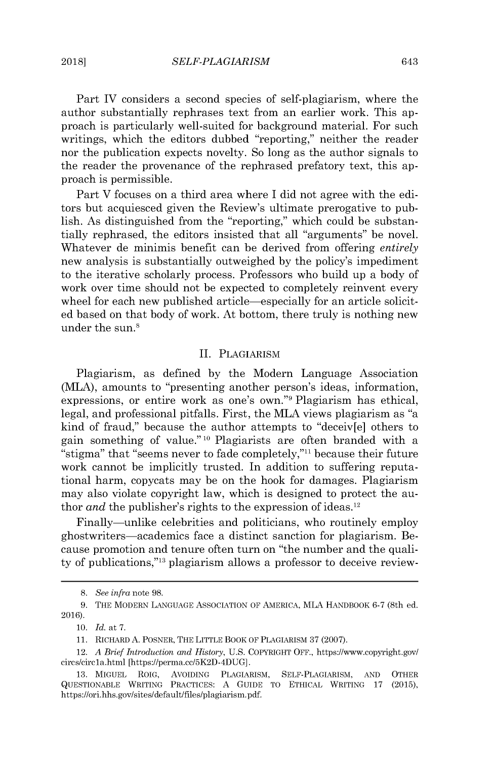Part IV considers a second species of self-plagiarism, where the author substantially rephrases text from an earlier work. This approach is particularly well-suited for background material. For such writings, which the editors dubbed "reporting," neither the reader nor the publication expects novelty. So long as the author signals to the reader the provenance of the rephrased prefatory text, this approach is permissible.

Part V focuses on a third area where I **did** not agree with the editors but acquiesced given the Review's ultimate prerogative to publish. As distinguished from the "reporting," which could be substantially rephrased, the editors insisted that all "arguments" be novel. Whatever de minimis benefit can be derived from offering *entirely* new analysis is substantially outweighed **by** the policy's impediment to the iterative scholarly process. Professors who build up a body of work over time should not be expected to completely reinvent every wheel for each new published article—especially for an article solicited based on that body of work. At bottom, there truly is nothing new under the sun.<sup>8</sup>

### II. PLAGIARISM

Plagiarism, as defined **by** the Modern Language Association (MLA), amounts to "presenting another person's ideas, information, expressions, or entire work as one's own."<sup>9</sup> Plagiarism has ethical, legal, and professional pitfalls. First, the MLA views plagiarism as "a kind of fraud," because the author attempts to "deceiv[e] others to gain something of value." **' <sup>0</sup>**Plagiarists are often branded with a "stigma" that "seems never to fade completely,"<sup>11</sup> because their future work cannot be implicitly trusted. In addition to suffering reputational harm, copycats may be on the hook for damages. Plagiarism may also violate copyright law, which is designed to protect the author *and* the publisher's rights to the expression of ideas.<sup>12</sup>

Finally—unlike celebrities and politicians, who routinely employ ghostwriters-academics face a distinct sanction for plagiarism. Because promotion and tenure often turn on "the number and the quality of publications,"<sup>13</sup> plagiarism allows a professor to deceive review-

**10.** *Id.* at **7.**

**<sup>8.</sup>** *See infra* note **98.**

**<sup>9.</sup>** THE MODERN **LANGUAGE** ASSOCIATION OF AMERICA, MLA HANDBOOK **6-7** (8th ed. **2016).**

**<sup>11.</sup>** RICHARD **A.** POSNER, THE LITTLE BOOK OF PLAGIARISM **37 (2007).**

<sup>12.</sup> *A Brief Introduction and History,* **U.S.** COPYRIGHT OFF., *https://www.copyright.gov/* circs/circla.html *[https://perma.cc/5K2D-4DUG].*

**<sup>13.</sup> MIGUEL** ROIG, AVOIDING PLAGIARISM, SELF-PLAGIARISM, **AND** OTHER **QUESTIONABLE** WRITING PRACTICES: **A GUIDE** To **ETHICAL** WRITING **17 (2015),** https://ori.hhs.gov/sites/default/files/plagiarism.pdf.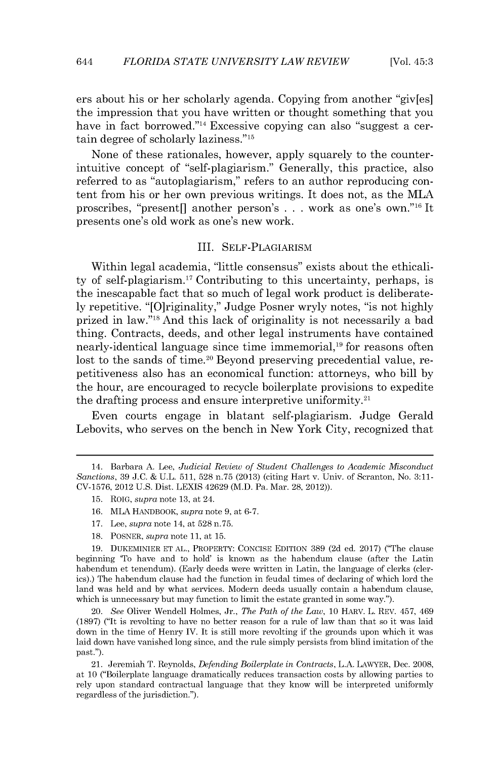ers about his or her scholarly agenda. Copying from another "giv[es] the impression that you have written or thought something that you have in fact borrowed."<sup>14</sup> Excessive copying can also "suggest a certain degree of scholarly laziness."<sup>15</sup>

None of these rationales, however, apply squarely to the counterintuitive concept of "self-plagiarism." Generally, this practice, also referred to as "autoplagiarism," refers to an author reproducing content from his or her own previous writings. It does not, as the MLA proscribes, "present[] another person's **. . .** work as one's own."16 It presents one's old work as one's new work.

#### III. SELF-PLAGIARISM

Within legal academia, "little consensus" exists about the ethicality of self-plagiarism. <sup>7</sup>Contributing to this uncertainty, perhaps, **is** the inescapable fact that so much of legal work product is deliberate**ly** repetitive. "[O]riginality," Judge Posner wryly notes, "is not **highly** prized in law."<sup>18</sup> And this lack of originality is not necessarily a bad thing. Contracts, deeds, and other legal instruments have contained nearly-identical language since time immemorial,<sup>19</sup> for reasons often lost to the sands of time.<sup>20</sup> Beyond preserving precedential value, repetitiveness also has an economical function: attorneys, who **bill by** the hour, are encouraged to recycle boilerplate provisions to expedite the drafting process and ensure interpretive uniformity.<sup>21</sup>

Even courts engage in blatant self-plagiarism. Judge Gerald Lebovits, who serves on the bench in New York City, recognized that

**19. DUKEMINIER ET AL.,** PROPERTY: **CONCISE EDITION 389 (2d** ed. **2017)** ("The clause beginning 'To have and to hold' is known as the habendum clause (after the Latin habendum et tenendum). (Early deeds were written in Latin, the language of clerks (clerics).) The habendum clause had the function in feudal times of declaring of which lord the land was held and **by** what services. Modern deeds usually contain a habendum clause, which is unnecessary but may function to limit the estate granted in some way.").

20. *See* Oliver Wendell Holmes, Jr., *The Path of the Law,* **10** HARV. L. REV. 457, 469 **(1897)** ("It is revolting to have no better reason for a rule of law than that so it was laid down in the time of Henry IV. It is still more revolting if the grounds upon which it was laid down have vanished long since, and the rule simply persists from blind imitation of the past.").

21. Jeremiah T. Reynolds, *Defending Boilerplate in Contracts,* **L.A.** LAWYER, Dec. **2008,** at **10** ("Boilerplate language dramatically reduces transaction costs **by** allowing parties to rely upon standard contractual language that they know will be interpreted uniformly regardless of the jurisdiction.").

<sup>14.</sup> Barbara **A.** Lee, *Judicial Review of Student Challenges to Academic Misconduct Sanctions,* **39 J.C. & U.L. 511, 528** n.75 **(2013)** (citing Hart v. Univ. of Scranton, No. **3:11- CV-1576,** 2012 **U.S.** Dist. **LEXIS** 42629 (M.D. Pa. Mar. **28,** 2012)).

**<sup>15.</sup>** ROIG, *supra* note **13,** at 24.

**<sup>16.</sup>** MLA HANDBOOK, *supra* note **9,** at **6-7.**

**<sup>17.</sup>** Lee, *supra* note 14, at **528** n.75.

**<sup>18.</sup>** POSNER, *supra note* **11,** at **15.**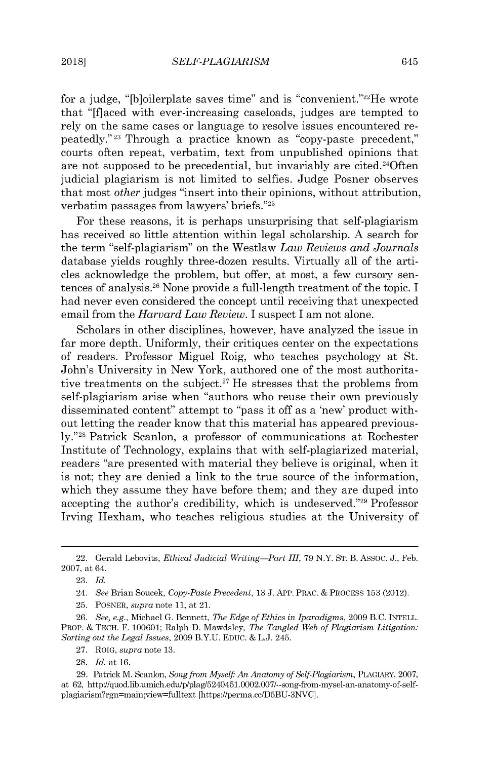for a judge, "[b]oilerplate saves time" and is "convenient."<sup>22</sup>He wrote that "[flaced with ever-increasing caseloads, judges are tempted to rely on the same cases or language to resolve issues encountered repeatedly."<sup>23</sup> Through a practice known as "copy-paste precedent," courts often repeat, verbatim, text from unpublished opinions that are not supposed to be precedential, but invariably are cited.<sup>24</sup>Oft judicial plagiarism is not limited to selfies. Judge Posner observes that most *other* judges "insert into their opinions, without attribution, verbatim passages from lawyers' briefs."25

For these reasons, it is perhaps unsurprising that self-plagiarism has received so little attention within legal scholarship. **A** search for the term "self-plagiarism" on the Westlaw *Law Reviews and Journals* database yields roughly three-dozen results. Virtually all of the articles acknowledge the problem, but offer, at most, a few cursory sentences of analysis.<sup>26</sup> None provide a full-length treatment of the topic. I had never even considered the concept until receiving that unexpected email from the *Harvard Law Review.* I suspect I am not alone.

Scholars in other disciplines, however, have analyzed the issue in far more depth. Uniformly, their critiques center on the expectations of readers. Professor Miguel Roig, who teaches psychology at St. John's University in New York, authored one of the most authoritative treatments on the subject.<sup>27</sup> He stresses that the problems from self-plagiarism arise when "authors who reuse their own previously disseminated content" attempt to "pass it off as a 'new' product without letting the reader know that this material has appeared previous**ly."2 8** Patrick Scanlon, a professor of communications at Rochester Institute of Technology, explains that with self-plagiarized material, readers "are presented with material they believe is original, when it is not; they are denied a link to the true source of the information, which they assume they have before them; and they are duped into accepting the author's credibility, which is undeserved."<sup>29</sup> Professor Irving Hexham, who teaches religious studies at the University of

<sup>22.</sup> Gerald Lebovits, *Ethical Judicial Writing-Part III, 79* N.Y. **ST.** B. Assoc. **J.,** Feb. **2007,** at 64.

**<sup>23.</sup>** *Id.*

<sup>24.</sup> *See* Brian Soucek, *Copy-Paste Precedent,* **13 J. APP.** PRAC. **& PROCESS 153** (2012).

**<sup>25.</sup>** POSNER, *supra* note **11,** at 21.

**<sup>26.</sup>** *See, e.g.,* Michael **G.** Bennett, *The Edge of Ethics in Iparadigms,* **2009 B.C. INTELL. PROP. & TECH.** F. **100601;** Ralph **D.** Mawdsley, *The Tangled Web of Plagiarism Litigation: Sorting out the Legal Issues,* **2009** B.Y.U. **EDUC. & L.J.** 245.

**<sup>27.</sup>** ROIG, *supra* note **13.**

**<sup>28.</sup>** *Id.* at **16.**

**<sup>29.</sup>** Patrick M. Scanlon, *Song from Myself An Anatomy of Self-Plagiarism,* **PLAGIARY, 2007,** at **62,** http://quod.lib.umich.edu/p/plag/5240451.0002.007/--song-from-mysel-an-anatomy-of-selfplagiarism?rgn=main;view-fulltext [https://perma.cc/D5BU-3NVC].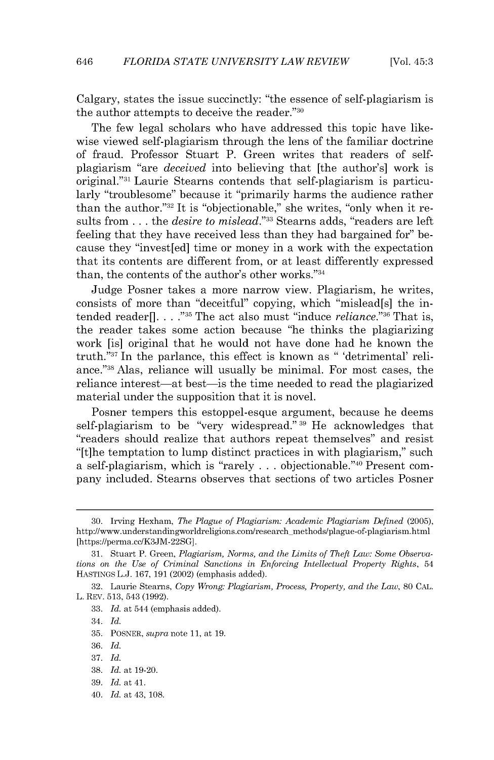Calgary, states the issue succinctly: "the essence of self-plagiarism **is** the author attempts to deceive the reader."<sup>30</sup>

The few legal scholars who have addressed this topic have likewise viewed self-plagiarism through the lens of the familiar doctrine of fraud. Professor Stuart P. Green writes that readers of selfplagiarism "are *deceived* into believing that [the author's] work **is** original."<sup>31</sup> Laurie Stearns contends that self-plagiarism is particularly "troublesome" because it "primarily harms the audience rather than the author."<sup>32</sup> It is "objectionable," she writes, "only when it results from **.** . **.** *the desire to mislead."3 3* Stearns adds, "readers are left feeling that they have received less than they had bargained for" because they "invest[ed] time or money in a work with the expectation that its contents are different from, or at least differently expressed than, the contents of the author's other works."34

Judge Posner takes a more narrow view. Plagiarism, he writes, consists of more than "deceitful" copying, which "mislead[s] the intended reader **[. . . ."35** The act also must "induce *reliance."<sup>3</sup> <sup>6</sup>*That **is,** the reader takes some action because "he thinks the plagiarizing work [is] original that he would not have done had he known the truth."<sup>37</sup> In the parlance, this effect is known as " 'detrimental' reliance." <sup>38</sup>Alas, reliance will usually be minimal. For most cases, the reliance interest—at best—is the time needed to read the plagiarized material under the supposition that it is novel.

Posner tempers this estoppel-esque argument, because he deems self-plagiarism to be "very widespread." **39** He acknowledges that "readers should realize that authors repeat themselves" and resist "[t]he temptation to lump distinct practices in with plagiarism," such a self-plagiarism, which is "rarely . . . objectionable."<sup>40</sup> Present company included. Stearns observes that sections of two articles Posner

40. *Id.* at 43, **108.**

**<sup>30.</sup>** Irving Hexham, *The Plague of Plagiarism: Academic Plagiarism Defined* **(2005),** http://www.understandingworldreligions.com/research methods/plague-of-plagiarism.html [https://perma.cc/K3JM-22SG].

**<sup>31.</sup>** Stuart P. Green, *Plagiarism, Norms, and the Limits of Theft Law: Some Observations on the Use of Criminal Sanctions in Enforcing Intellectual Property Rights, 54* HASTINGS **L.J. 167, 191** (2002) (emphasis added).

**<sup>32.</sup>** Laurie Stearns, *Copy Wrong: Plagiarism, Process, Property, and the Law,* **80 CAL.** L. REV. **513,** 543 **(1992).**

**<sup>33.</sup>** *Id.* at 544 (emphasis added).

<sup>34.</sup> *Id.*

**<sup>35.</sup>** POSNER, *supra* note **11,** at **19.**

**<sup>36.</sup>** *Id.*

**<sup>37.</sup>** *Id.*

**<sup>38.</sup>** *Id.* at **19-20.**

**<sup>39.</sup>** *Id.* at 41.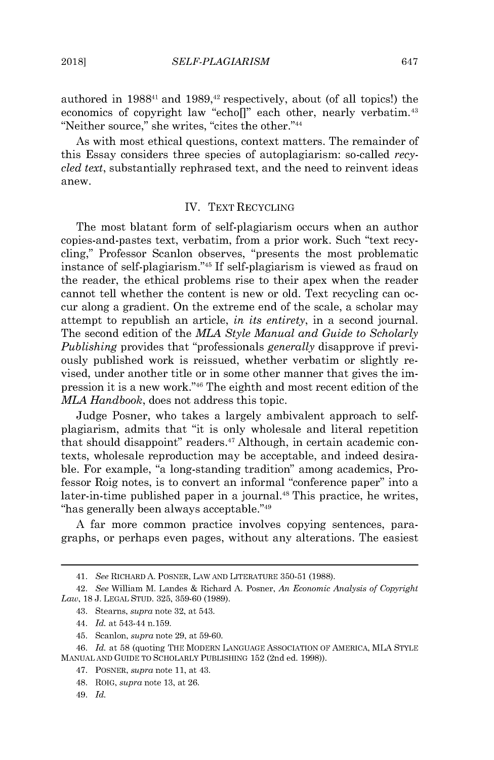authored in **198841** and **1989,42** respectively, about (of all topics!) the economics of copyright law "echol" each other, nearly verbatim.<sup>43</sup> "Neither source," she writes, "cites the other."<sup>44</sup>

As with most ethical questions, context matters. The remainder of this Essay considers three species of autoplagiarism: so-called *recycled text,* substantially rephrased text, and the need to reinvent ideas anew.

#### IV. TEXT RECYCLING

The most blatant form of self-plagiarism occurs when an author copies-and-pastes text, verbatim, from a prior work. Such "text recycling," Professor Scanlon observes, "presents the most problematic instance of self-plagiarism."<sup>45</sup> If self-plagiarism is viewed as fraud on the reader, the ethical problems rise to their apex when the reader cannot tell whether the content is new or old. Text recycling can occur along a gradient. On the extreme end of the scale, a scholar may attempt to republish an article, *in its entirety,* in a second journal. The second edition of the *MLA Style Manual and Guide to Scholarly Publishing* provides that "professionals *generally* disapprove **if** previously published work is reissued, whether verbatim or slightly revised, under another title or in some other manner that gives the **im**pression it is a new work."<sup>46</sup> The eighth and most recent edition of the *MLA Handbook,* does not address this topic.

Judge Posner, who takes a largely ambivalent approach to selfplagiarism, admits that "it is only wholesale and literal repetition that should disappoint" readers. $47$  Although, in certain academic contexts, wholesale reproduction may be acceptable, and indeed desirable. For example, "a long-standing tradition" among academics, Professor Roig notes, is to convert an informal "conference paper" into a later-in-time published paper in a journal.<sup>48</sup> This practice, he writes, "has generally been always acceptable."49

**A** far more common practice involves copying sentences, paragraphs, or perhaps even pages, without any alterations. The easiest

<sup>41.</sup> *See* RICHARD **A.** POSNER, LAW **AND** LITERATURE **350-51 (1988).**

<sup>42.</sup> *See* William M. Landes **&** Richard **A.** Posner, *An Economic Analysis of Copyright Law,* **18 J. LEGAL STUD. 325, 359-60 (1989).**

<sup>43.</sup> Stearns, *supra* note **32,** at 543.

<sup>44.</sup> *Id. at* 543-44 **n.159.**

<sup>45.</sup> Scanlon, *supra* note **29,** at **59-60.**

<sup>46.</sup> *Id.* at **58** (quoting THE MODERN **LANGUAGE** ASSOCIATION OF AMERICA, MLA STYLE **MANUAL AND GUIDE** TO SCHOLARLY **PUBLISHING 152** (2nd ed. **1998)).**

<sup>47.</sup> POSNER, *supra* note **11,** at 43.

<sup>48.</sup> ROIG, *supra* note **13,** at **26.**

<sup>49.</sup> *Id.*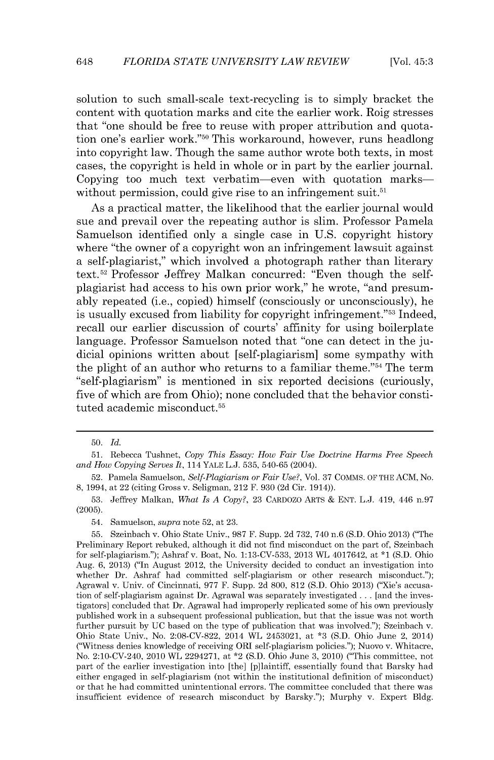solution to such small-scale text-recycling is to simply bracket the content with quotation marks and cite the earlier work. Roig stresses that "one should be free to reuse with proper attribution and quotation one's earlier work."<sup>50</sup> This workaround, however, runs headlong into copyright law. Though the same author wrote both texts, in most cases, the copyright is held in whole or in part **by** the earlier journal. Copying too much text verbatim-even with quotation markswithout permission, could give rise to an infringement suit. $51$ 

As a practical matter, the likelihood that the earlier journal would sue and prevail over the repeating author is slim. Professor Pamela Samuelson identified only a single case in **U.S.** copyright history where "the owner of a copyright won an infringement lawsuit against a self-plagiarist," which involved a photograph rather than literary **text.<sup>5</sup> <sup>2</sup>**Professor Jeffrey Malkan concurred: "Even though the selfplagiarist had access to his own prior work," he wrote, "and presumably repeated (i.e., copied) himself (consciously or unconsciously), he is usually excused from liability for copyright infringement."<sup>53</sup> Indeed, recall our earlier discussion of courts' affinity for using boilerplate language. Professor Samuelson noted that "one can detect in the **ju**dicial opinions written about [self-plagiarism] some sympathy with the plight of an author who returns to a familiar theme." $54$  The term "self-plagiarism" is mentioned in six reported decisions (curiously, five of which are from Ohio); none concluded that the behavior constituted academic misconduct.<sup>55</sup>

**<sup>50.</sup>** *Id.*

**<sup>51.</sup>** Rebecca Tushnet, *Copy This Essay: How Fair Use Doctrine Harms Free Speech and How Copying Serves It,* 114 YALE **L.J. 535, 540-65** (2004).

**<sup>52.</sup>** Pamela Samuelson, *Self-Plagiarism or Fair Use?,* Vol. **37 COMMS.** OF THE **ACM,** No. **8,** 1994, at 22 (citing Gross v. Seligman, 212 F. **930 (2d** Cir. 1914)).

**<sup>53.</sup>** Jeffrey Malkan, What *Is A Copy?,* **23** CARDozo ARTS **& ENT. L.J.** 419, 446 n.97 **(2005).**

<sup>54.</sup> Samuelson, *supra* note **52,** at **23.**

**<sup>55.</sup>** Szeinbach v. Ohio State Univ., **987** F. Supp. **2d 732,** 740 n.6 **(S.D.** Ohio **2013)** ("The Preliminary Report rebuked, although it did not find misconduct on the part of, Szeinbach for self-plagiarism."); Ashraf v. Boat, No. **1:13-CV-533, 2013** WL 4017642, at **\*1 (S.D.** Ohio Aug. **6, 2013)** ("In August 2012, the University decided to conduct an investigation into whether Dr. Ashraf had committed self-plagiarism or other research misconduct."); Agrawal v. Univ. of Cincinnati, **977** F. Supp. **2d 800, 812 (S.D.** Ohio **2013)** ("Xie's accusation of self-plagiarism against Dr. Agrawal was separately investigated **. ..** [and the investigators] concluded that Dr. Agrawal had improperly replicated some of his own previously published work in a subsequent professional publication, but that the issue was not worth further pursuit **by UC** based on the type of publication that was involved."); Szeinbach v. Ohio State Univ., No. **2:08-CV-822,** 2014 WL 2453021, at **\*3 (S.D.** Ohio June 2, 2014) ("Witness denies knowledge of receiving ORI self-plagiarism policies."); Nuovo v. Whitacre, No. 2:10-CV-240, 2010 WL 2294271, at \*2 **(S.D.** Ohio June **3,** 2010) ("This committee, not part of the earlier investigation into [the] [p]laintiff, essentially found that Barsky had either engaged in self-plagiarism (not within the institutional definition of misconduct) or that he had committed unintentional errors. The committee concluded that there was insufficient evidence of research misconduct **by** Barsky."); Murphy v. Expert **Bldg.**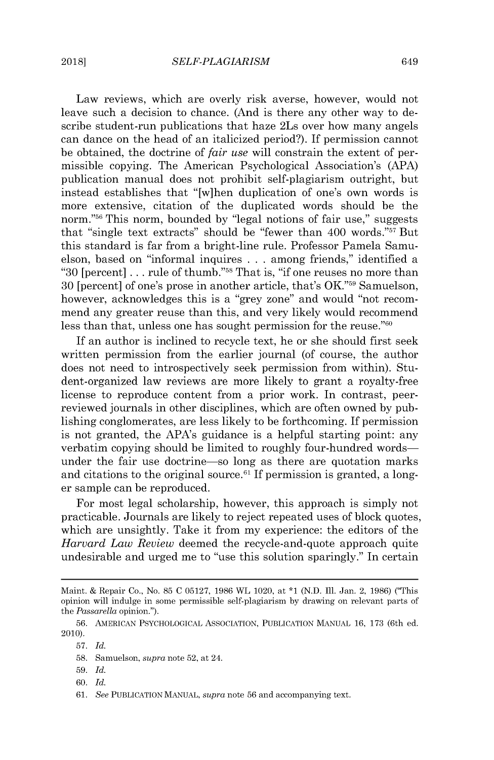Law reviews, which are overly risk averse, however, would not leave such a decision to chance. (And is there any other way to describe student-run publications that haze 2Ls over how many angels can dance on the head of an italicized period?). If permission cannot be obtained, the doctrine of *fair use* will constrain the extent of permissible copying. The American Psychological Association's **(APA)** publication manual does not prohibit self-plagiarism outright, but instead establishes that "[w]hen duplication of one's own words **is** more extensive, citation of the duplicated words should be the norm."<sup>56</sup> This norm, bounded by "legal notions of fair use," suggests that "single text extracts" should be "fewer than 400 words."<sup>57</sup> But this standard is far from a bright-line rule. Professor Pamela Samuelson, based on "informal inquires **.** . **.** among friends," identified a **"30** [percent] **...** rule of thumb."5 8 That is, **"if** one reuses no more than **30** [percent] of one's prose in another article, that's OK."5 9 Samuelson, however, acknowledges this is a "grey zone" and would "not recommend any greater reuse than this, and very likely would recommend less than that, unless one has sought permission for the reuse. $\frac{1}{60}$ 

If an author is inclined to recycle text, he or she should first seek written permission from the earlier journal (of course, the author does not need to introspectively seek permission from within). Student-organized law reviews are more likely to grant a royalty-free license to reproduce content from a prior work. In contrast, peerreviewed journals in other disciplines, which are often owned **by** publishing conglomerates, are less likely to be forthcoming. If permission is not granted, the APA's guidance is a helpful starting point: any verbatim copying should be limited to roughly four-hundred words under the fair use doctrine-so long as there are quotation marks and citations to the original source.<sup>61</sup> If permission is granted, a longer sample can be reproduced.

For most legal scholarship, however, this approach is simply not practicable. Journals are likely to reject repeated uses of block quotes, which are unsightly. Take it from my experience: the editors of the *Harvard Law Review* deemed the recycle-and-quote approach quite undesirable and urged me to "use this solution sparingly." In certain

- **59.** *Id.*
- **60.** *Id.*
- **61.** *See* **PUBLICATION MANUAL,** *supra* note **56** and accompanying text.

Maint. **&** Repair Co., No. **85 C 05127, 1986** WL 1020, at **\*1 (N.D.** Ill. Jan. 2, **1986)** ("This opinion will indulge in some permissible self-plagiarism **by** drawing on relevant parts of the *Passarella* opinion.").

**<sup>56.</sup> AMERICAN PSYCHOLOGICAL** ASSOCIATION, **PUBLICATION MANUAL 16, 173** (6th ed. 2010).

**<sup>57.</sup>** *Id.*

**<sup>58.</sup>** Samuelson, *supra* note **52,** at 24.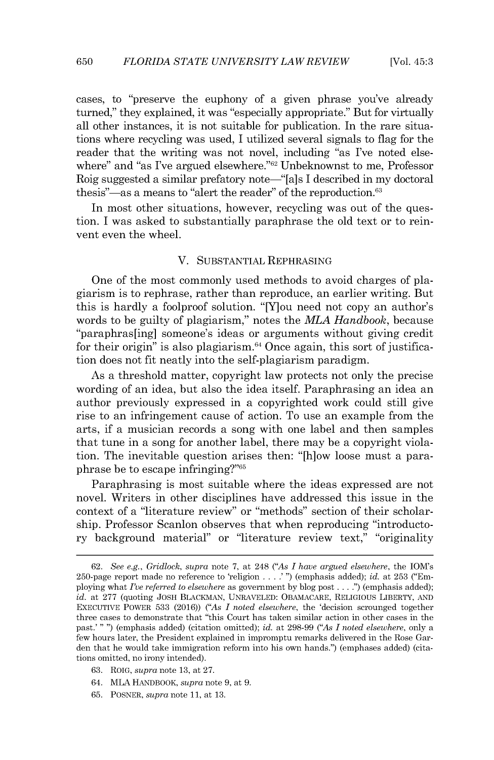cases, to "preserve the euphony of a given phrase you've already turned," they explained, it was "especially appropriate." But for virtually all other instances, it is not suitable for publication. In the rare situations where recycling was used, I utilized several signals to flag for the reader that the writing was not novel, including "as I've noted elsewhere" and "as I've argued elsewhere."<sup>62</sup> Unbeknownst to me, Professor Roig suggested a similar prefatory note—"[a]s I described in my doctoral thesis"—as a means to "alert the reader" of the reproduction. $63$ 

In most other situations, however, recycling was out of the question. I was asked to substantially paraphrase the old text or to reinvent even the wheel.

#### V. **SUBSTANTIAL** REPHRASING

One of the most commonly used methods to avoid charges of plagiarism is to rephrase, rather than reproduce, an earlier writing. But this is hardly a foolproof solution. "[Y]ou need not copy an author's words to be guilty of plagiarism," notes the *MLA Handbook,* because "paraphras[ing] someone's ideas or arguments without giving credit for their origin" is also plagiarism. $64$  Once again, this sort of justification does not fit neatly into the self-plagiarism paradigm.

As a threshold matter, copyright law protects not only the precise wording of an idea, but also the idea itself. Paraphrasing an idea an author previously expressed in a copyrighted work could still give rise to an infringement cause of action. To use an example from the arts, **if** a musician records a song with one label and then samples that tune in a song for another label, there may be a copyright violation. The inevitable question arises then: "[h]ow loose must a paraphrase be to escape infringing?"<sup>65</sup>

Paraphrasing is most suitable where the ideas expressed are not novel. Writers in other disciplines have addressed this issue in the context of a "literature review" or "methods" section of their scholarship. Professor Scanlon observes that when reproducing "introductory background material" or "literature review text," "originality

- **63.** ROIG, *supra* note **13,** at **27.**
- 64. MLA HANDBOOK, *supra* note **9,** at **9.**
- **65.** POSNER, *supra* note **11,** at **13.**

**<sup>62.</sup>** *See e.g., Gridlock, supra* note **7,** at 248 *("As I have argued elsewhere,* the IOM's 250-page report made no reference to 'religion **. . . .' ")** (emphasis added); *id.* at **253** ("Employing what *I've referred to elsewhere* as government **by** blog post **. . . .")** (emphasis added); *id.* at **277** (quoting **JOSH** BLACKMAN, **UNRAVELED:** OBAMACARE, RELIGIOUS LIBERTY, **AND EXECUTIVE** POWER **533 (2016))** *("As I noted elsewhere,* the 'decision scrounged together three cases to demonstrate that "this Court has taken similar action in other cases in the past.' **" ")** (emphasis added) (citation omitted); *id.* at **298-99** *("As I noted elsewhere,* only a few hours later, the President explained in impromptu remarks delivered in the Rose Garden that he would take immigration reform into his own hands.") (emphases added) (citations omitted, no irony intended).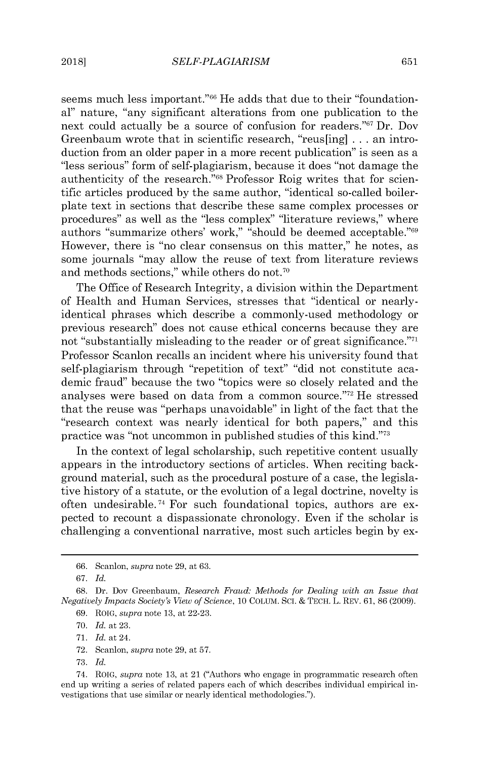seems much less important."<sup>66</sup> He adds that due to their "foundational" nature, "any significant alterations from one publication to the next could actually be a source of confusion for readers."<sup>67</sup> Dr. Dov Greenbaum wrote that in scientific research, "reus[ing] **.** . **.** an introduction from an older paper in a more recent publication" is seen as a "less serious" form of self-plagiarism, because it does "not damage the authenticity of the research."<sup>68</sup> Professor Roig writes that for scientific articles produced **by** the same author, "identical so-called boilerplate text in sections that describe these same complex processes or procedures" as well as the "less complex" "literature reviews," where authors "summarize others' work," "should be deemed acceptable."<sup>69</sup> However, there is "no clear consensus on this matter," he notes, as some journals "may allow the reuse of text from literature reviews and methods sections," while others do not.<sup>70</sup>

The Office of Research Integrity, a division within the Department of Health and Human Services, stresses that "identical or nearlyidentical phrases which describe a commonly-used methodology or previous research" does not cause ethical concerns because they are not "substantially misleading to the reader or of great significance."<sup>71</sup> Professor Scanlon recalls an incident where his university found that self-plagiarism through "repetition of text" **"did** not constitute academic fraud" because the two "topics were so closely related and the analyses were based on data from a common source."72 He stressed that the reuse was "perhaps unavoidable" in light of the fact that the "research context was nearly identical for both papers," and this practice was "not uncommon in published studies of this kind."<sup>73</sup>

In the context of legal scholarship, such repetitive content usually appears in the introductory sections of articles. When reciting background material, such as the procedural posture of a case, the legislative history of a statute, or the evolution of a legal doctrine, novelty **is** often undesirable.<sup>74</sup> For such foundational topics, authors are expected to recount a dispassionate chronology. Even **if** the scholar **is** challenging a conventional narrative, most such articles begin **by** ex-

**<sup>66.</sup>** Scanlon, *supra* note **29,** at **63.**

*<sup>67.</sup> Id.*

**<sup>68.</sup>** Dr. Dov Greenbaum, *Research Fraud: Methods for Dealing with an Issue that Negatively Impacts Society's View of Science,* **10 COLUM.** Sci. **& TECH.** L. REV. **61, 86 (2009).**

**<sup>69.</sup>** ROIG, *supra* note **13,** at **22-23.**

**<sup>70.</sup>** *Id.* at **23.**

**<sup>71.</sup>** *Id.* at 24.

**<sup>72.</sup>** Scanlon, *supra* note **29,** at **57.**

**<sup>73.</sup>** *Id.*

<sup>74.</sup> ROIG, *supra* note **13,** at 21 ("Authors who engage in programmatic research often end up writing a series of related papers each of which describes individual empirical investigations that use similar or nearly identical methodologies.").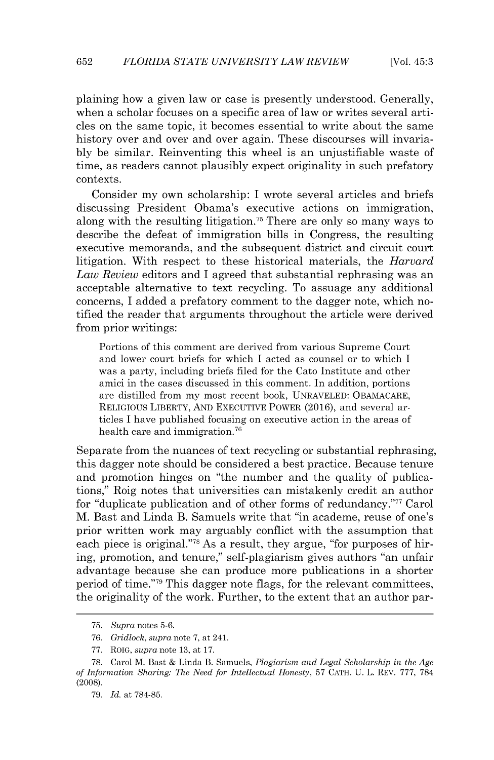plaining how a given law or case is presently understood. Generally, when a scholar focuses on a specific area of law or writes several articles on the same topic, it becomes essential to write about the same history over and over and over again. These discourses will invaria**bly** be similar. Reinventing this wheel is an unjustifiable waste of time, as readers cannot plausibly expect originality in such prefatory contexts.

Consider my own scholarship: I wrote several articles and briefs discussing President Obama's executive actions on immigration, along with the resulting litigation.<sup>75</sup> There are only so many ways to describe the defeat of immigration bills in Congress, the resulting executive memoranda, and the subsequent district and circuit court litigation. With respect to these historical materials, the *Harvard Law Review* editors and I agreed that substantial rephrasing was an acceptable alternative to text recycling. To assuage any additional concerns, I added a prefatory comment to the dagger note, which notified the reader that arguments throughout the article were derived from prior writings:

Portions of this comment are derived from various Supreme Court and lower court briefs for which **I** acted as counsel or to which **I** was a party, including briefs filed for the Cato Institute and other amici in the cases discussed in this comment. In addition, portions are distilled from my most recent book, **UNRAVELED:** OBAMACARE, RELIGIOUs LIBERTY, **AND EXECUTIVE** POWER **(2016),** and several articles **I** have published focusing on executive action in the areas of health care and immigration.<sup>76</sup>

Separate from the nuances of text recycling or substantial rephrasing, this dagger note should be considered a best practice. Because tenure and promotion hinges on "the number and the quality of publications," Roig notes that universities can mistakenly credit an author for "duplicate publication and of other forms of redundancy."<sup>77</sup> Carol M. Bast and Linda B. Samuels write that "in academe, reuse of one's prior written work may arguably conflict with the assumption that each piece is original."<sup>78</sup> As a result, they argue, "for purposes of hiring, promotion, and tenure," self-plagiarism gives authors "an unfair advantage because she can produce more publications in a shorter period of time."<sup>79</sup> This dagger note flags, for the relevant committees, the originality of the work. Further, to the extent that an author par-

**<sup>75.</sup>** *Supra* notes **5-6.**

**<sup>76.</sup>** *Gridlock, supra* note **7,** at 241.

**<sup>77.</sup>** ROIG, *supra* note **13,** at **17.**

**<sup>78.</sup>** Carol M. Bast **&** Linda B. Samuels, *Plagiarism and Legal Scholarship in the Age of Information Sharing: The Need for Intellectual Honesty,* **57 CATH. U.** L. REV. **777, 784 (2008).**

**<sup>79.</sup>** *Id.* at **784-85.**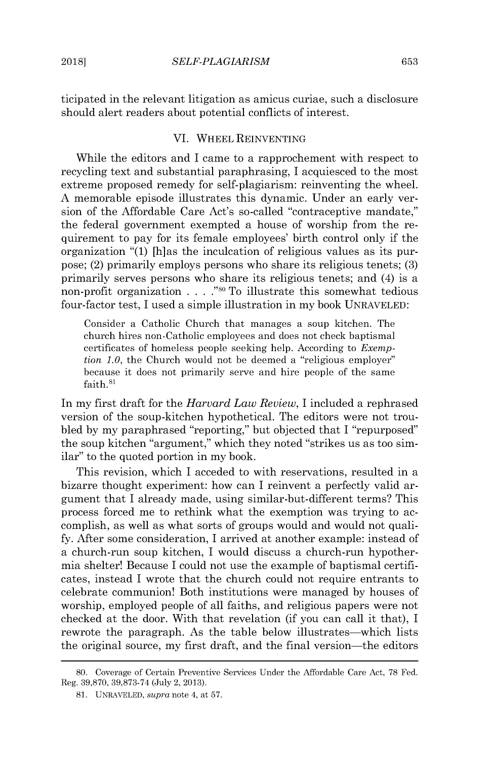ticipated in the relevant litigation as amicus curiae, such a disclosure should alert readers about potential conflicts of interest.

#### VI. WHEEL **REINVENTING**

While the editors and I came to a rapprochement with respect to recycling text and substantial paraphrasing, I acquiesced to the most extreme proposed remedy for self-plagiarism: reinventing the wheel. **A** memorable episode illustrates this dynamic. Under an early version of the Affordable Care Act's so-called "contraceptive mandate," the federal government exempted a house of worship from the requirement to pay for its female employees' birth control only **if** the organization **"(1)** [h]as the inculcation of religious values as its purpose; (2) primarily employs persons who share its religious tenets; **(3)** primarily serves persons who share its religious tenets; and (4) is a non-profit organization **. . .** ."so To illustrate this somewhat tedious four-factor test, I used a simple illustration in my book **UNRAVELED:**

Consider a Catholic Church that manages a soup kitchen. The church hires non-Catholic employees and does not check baptismal certificates of homeless people seeking help. According to *Exemption 1.0,* the Church would not be deemed a "religious employer" because it does not primarily serve and hire people of the same faith.<sup>81</sup>

In my first draft for the *Harvard Law Review,* I included a rephrased version of the soup-kitchen hypothetical. The editors were not troubled **by** my paraphrased "reporting," but objected that I "repurposed" the soup kitchen "argument," which they noted "strikes us as too similar" to the quoted portion in my book.

This revision, which I acceded to with reservations, resulted in a bizarre thought experiment: how can I reinvent a perfectly valid argument that I already made, using similar-but-different terms? This process forced me to rethink what the exemption was trying to accomplish, as well as what sorts of groups would and would not quali**fy.** After some consideration, I arrived at another example: instead of a church-run soup kitchen, I would discuss a church-run hypothermia shelter! Because I could not use the example of baptismal certificates, instead I wrote that the church could not require entrants to celebrate communion! Both institutions were managed **by** houses of worship, employed people of all faiths, and religious papers were not checked at the door. With that revelation (if you can call it that), I rewrote the paragraph. As the table below illustrates—which lists the original source, my first draft, and the final version—the editors

**<sup>80.</sup>** Coverage of Certain Preventive Services Under the Affordable Care Act, **78** Fed. Reg. **39,870, 39,873-74** (July 2, **2013).**

**<sup>81.</sup> UNRAVELED,** *supra* note 4, at **57.**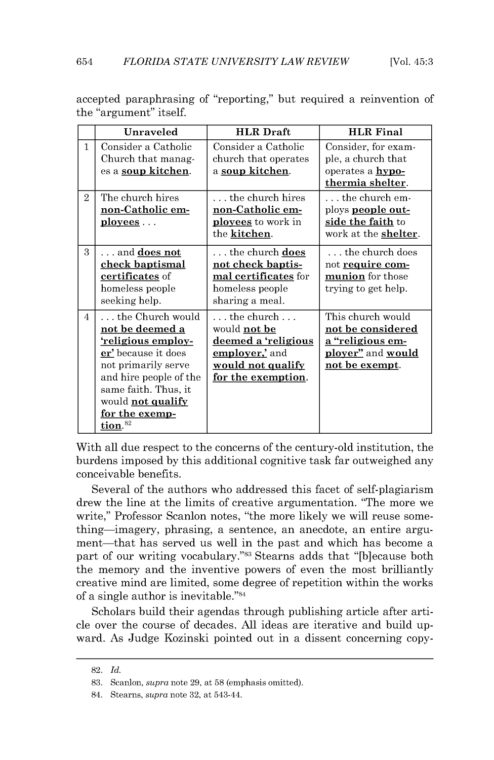|                | Unraveled                                                                                                                                                                                                                                      | <b>HLR</b> Draft                                                                                                                            | <b>HLR</b> Final                                                                                                 |
|----------------|------------------------------------------------------------------------------------------------------------------------------------------------------------------------------------------------------------------------------------------------|---------------------------------------------------------------------------------------------------------------------------------------------|------------------------------------------------------------------------------------------------------------------|
| $\mathbf{1}$   | Consider a Catholic<br>Church that manag-<br>es a soup kitchen.                                                                                                                                                                                | Consider a Catholic<br>church that operates<br>a <u>soup kitchen</u> .                                                                      | Consider, for exam-<br>ple, a church that<br>operates a <b>hypo-</b><br>thermia shelter.                         |
| $\overline{2}$ | The church hires<br>non-Catholic em-<br><u>ployees</u>                                                                                                                                                                                         | the church hires<br>non-Catholic em-<br><b>ployees</b> to work in<br>the kitchen.                                                           | $\dots$ the church em-<br>ploys <b>people out-</b><br>side the faith to<br>work at the <b>shelter</b> .          |
| $\mathcal{R}$  | $\dots$ and $\underline{\textbf{does not}}$<br>check baptismal<br>certificates of<br>homeless people<br>seeking help.                                                                                                                          | $\ldots$ the church $\mathrm{does}$<br>not check baptis-<br>mal certificates for<br>homeless people<br>sharing a meal.                      | $\ldots$ the church does<br>not require com-<br>munion for those<br>trying to get help.                          |
| $\overline{4}$ | $\ldots$ the Church would<br>not be deemed a<br><u>'religious employ-</u><br>er' because it does<br>not primarily serve<br>and hire people of the<br>same faith. Thus, it<br>would <b>not qualify</b><br>for the exemp-<br>tion. <sup>82</sup> | $\dots$ the church $\dots$<br>would <b>not be</b><br>deemed a 'religious<br>employer, and<br><u>would not qualify</u><br>for the exemption. | This church would<br>not be considered<br><u>a "religious em-</u><br>ployer" and would<br><u>not be exempt</u> . |

accepted paraphrasing of "reporting," but required a reinvention of the "argument" itself.

With all due respect to the concerns of the century-old institution, the burdens imposed **by** this additional cognitive task far outweighed any conceivable benefits.

Several of the authors who addressed this facet of self-plagiarism drew the line at the limits of creative argumentation. "The more we write," Professor Scanlon notes, "the more likely we will reuse something-imagery, phrasing, a sentence, an anecdote, an entire argument-that has served us well in the past and which has become a part of our writing vocabulary."<sup>83</sup> Stearns adds that "[b]ecause both the memory and the inventive powers of even the most brilliantly creative mind are limited, some degree of repetition within the works of a single author is inevitable."<sup>84</sup>

Scholars build their agendas through publishing article after article over the course of decades. **All** ideas are iterative and build upward. As Judge Kozinski pointed out in a dissent concerning copy-

**<sup>82.</sup>** *Id.*

**<sup>83.</sup>** Scanlon, *supra* note **29,** at **58** (emphasis omitted).

<sup>84.</sup> Stearns, *supra* note **32,** at 543-44.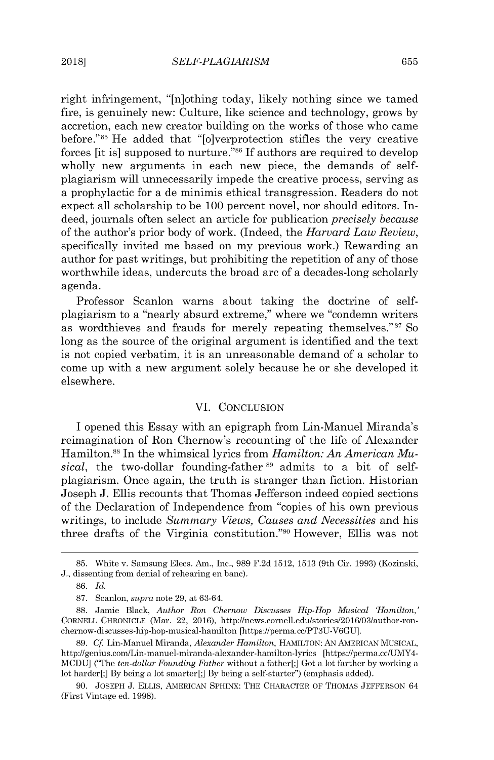right infringement, "[n]othing today, likely nothing since we tamed fire, is genuinely new: Culture, like science and technology, grows **by** accretion, each new creator building on the works of those who came before."<sup>85</sup> He added that "[o]verprotection stifles the very creative forces [it is] supposed to nurture."<sup>86</sup> If authors are required to develop wholly new arguments in each new piece, the demands of selfplagiarism will unnecessarily impede the creative process, serving as a prophylactic for a de minimis ethical transgression. Readers do not expect all scholarship to be **100** percent novel, nor should editors. Indeed, journals often select an article for publication *precisely because* of the author's prior body of work. (Indeed, the *Harvard Law Review,* specifically invited me based on my previous work.) Rewarding an author for past writings, but prohibiting the repetition of any of those worthwhile ideas, undercuts the broad arc of a decades-long scholarly agenda.

Professor Scanlon warns about taking the doctrine of selfplagiarism to a "nearly absurd extreme," where we "condemn writers as wordthieves and frauds for merely repeating themselves."<sup>87</sup> So long as the source of the original argument is identified and the text is not copied verbatim, it is an unreasonable demand of a scholar to come up with a new argument solely because he or she developed it elsewhere.

#### VI. **CONCLUSION**

I opened this Essay with an epigraph from Lin-Manuel Miranda's reimagination of Ron Chernow's recounting of the life of Alexander Hamilton.<sup>88</sup> In the whimsical lyrics from *Hamilton: An American Musical,* the two-dollar founding-father **89** admits to a bit of selfplagiarism. Once again, the truth is stranger than fiction. Historian Joseph **J.** Ellis recounts that Thomas Jefferson indeed copied sections of the Declaration of Independence from "copies of his own previous writings, to include *Summary Views, Causes and Necessities* and his three drafts of the Virginia constitution."<sup>90</sup> However, Ellis was not

**<sup>85.</sup>** White v. Samsung Elecs. Am., Inc., **989 F.2d 1512, 1513** (9th Cir. **1993)** (Kozinski, **J.,** dissenting from denial of rehearing en banc).

**<sup>86.</sup>** *Id.*

**<sup>87.</sup>** Scanlon, *supra* note **29,** at **63-64.**

**<sup>88.</sup>** Jamie Black, *Author Ron Chernow Discusses Hip-Hop Musical 'Hamilton,'* CORNELL **CHRONICLE** (Mar. 22, **2016),** http://news.cornell.edulstories/2016/03/author-ronchernow-discusses-hip-hop-musical-hamilton [https://perma.cc/PT3U-V6GU].

**<sup>89.</sup>** *Cf.* Lin-Manuel Miranda, *Alexander Hamilton,* **HAMILTON: AN AMERICAN MUSICAL,** http://genius.com/Lin-manuel-miranda-alexander-hamilton-lyrics [https://perma.cc/UMY4- **MCDU]** ("The *ten-dollar Founding Father* without a father[;] Got a lot farther **by** working a lot harder[;] **By** being a lot smarter[;] **By** being a self-starter") (emphasis added).

**<sup>90.</sup> JOSEPH J.** ELLIS, **AMERICAN SPHINX:** THE CHARACTER OF **THOMAS JEFFERSON** 64 (First Vintage ed. **1998).**